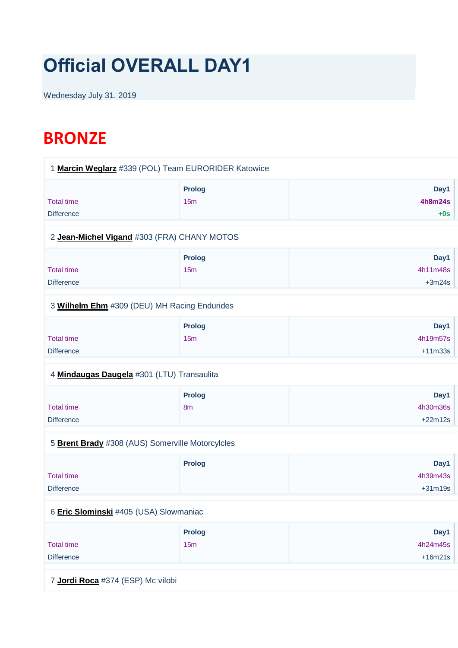# **Official OVERALL DAY1**

Wednesday July 31. 2019

## **BRONZE**

| 1 Marcin Weglarz #339 (POL) Team EURORIDER Katowice |                          |                                 |
|-----------------------------------------------------|--------------------------|---------------------------------|
| <b>Total time</b><br><b>Difference</b>              | <b>Prolog</b><br>15m     | Day1<br><b>4h8m24s</b><br>$+0s$ |
| 2 Jean-Michel Vigand #303 (FRA) CHANY MOTOS         |                          |                                 |
| <b>Total time</b><br><b>Difference</b>              | <b>Prolog</b><br>15m     | Day1<br>4h11m48s<br>$+3m24s$    |
| 3 Wilhelm Ehm #309 (DEU) MH Racing Endurides        |                          |                                 |
| <b>Total time</b><br><b>Difference</b>              | <b>Prolog</b><br>15m     | Day1<br>4h19m57s<br>$+11m33s$   |
| 4 Mindaugas Daugela #301 (LTU) Transaulita          |                          |                                 |
| <b>Total time</b><br><b>Difference</b>              | Prolog<br>8 <sub>m</sub> | Day1<br>4h30m36s<br>$+22m12s$   |
| 5 Brent Brady #308 (AUS) Somerville Motorcylcles    |                          |                                 |
| <b>Total time</b><br><b>Difference</b>              | <b>Prolog</b>            | Day1<br>4h39m43s<br>$+31m19s$   |
| 6 Eric Slominski #405 (USA) Slowmaniac              |                          |                                 |
| <b>Total time</b><br><b>Difference</b>              | <b>Prolog</b><br>15m     | Day1<br>4h24m45s<br>$+16m21s$   |
| 7 Jordi Roca #374 (ESP) Mc vilobi                   |                          |                                 |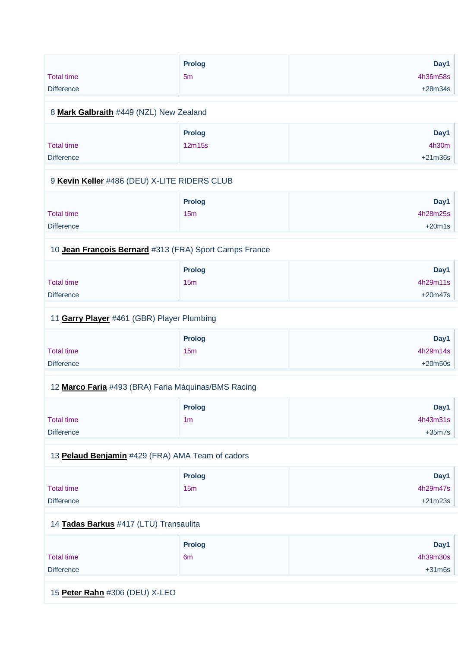|                   | <b>Prolog</b> | Day1      |
|-------------------|---------------|-----------|
| <b>Total time</b> | 5m            | 4h36m58s  |
| <b>Difference</b> |               | $+28m34s$ |

## 8 **[Mark Galbraith](https://www.redbullromaniacs.com/for-competitors/profile/?e=rbr2019&b=449)** #449 (NZL) New Zealand

|                   | <b>Prolog</b> | Day1      |
|-------------------|---------------|-----------|
| <b>Total time</b> | 12m15s        | 4h30m     |
| <b>Difference</b> |               | $+21m36s$ |

#### 9 **[Kevin Keller](https://www.redbullromaniacs.com/for-competitors/profile/?e=rbr2019&b=486)** #486 (DEU) X-LITE RIDERS CLUB

|                   | <b>Prolog</b> | Day1     |
|-------------------|---------------|----------|
| <b>Total time</b> | 15m           | 4h28m25s |
| <b>Difference</b> |               | $+20m1s$ |

## 10 **[Jean François Bernard](https://www.redbullromaniacs.com/for-competitors/profile/?e=rbr2019&b=313)** #313 (FRA) Sport Camps France

|                   | <b>Prolog</b> | Day1      |
|-------------------|---------------|-----------|
| <b>Total time</b> | 15m           | 4h29m11s  |
| <b>Difference</b> |               | $+20m47s$ |

#### 11 **[Garry Player](https://www.redbullromaniacs.com/for-competitors/profile/?e=rbr2019&b=461)** #461 (GBR) Player Plumbing

|                   | <b>Prolog</b> | Day1      |
|-------------------|---------------|-----------|
| <b>Total time</b> | 15m           | 4h29m14s  |
| <b>Difference</b> |               | $+20m50s$ |

#### 12 **[Marco Faria](https://www.redbullromaniacs.com/for-competitors/profile/?e=rbr2019&b=493)** #493 (BRA) Faria Máquinas/BMS Racing

|                   | <b>Prolog</b>  | Day1     |
|-------------------|----------------|----------|
| <b>Total time</b> | 1 <sub>m</sub> | 4h43m31s |
| <b>Difference</b> |                | $+35m7s$ |

## 13 **[Pelaud Benjamin](https://www.redbullromaniacs.com/for-competitors/profile/?e=rbr2019&b=429)** #429 (FRA) AMA Team of cadors

|                   | <b>Prolog</b> | Day1      |
|-------------------|---------------|-----------|
| <b>Total time</b> | 15m           | 4h29m47s  |
| <b>Difference</b> |               | $+21m23s$ |

#### 14 **[Tadas Barkus](https://www.redbullromaniacs.com/for-competitors/profile/?e=rbr2019&b=417)** #417 (LTU) Transaulita

|                   | Prolog         | Day1     |
|-------------------|----------------|----------|
| <b>Total time</b> | 6 <sub>m</sub> | 4h39m30s |
| <b>Difference</b> |                | $+31m6s$ |

15 **[Peter Rahn](https://www.redbullromaniacs.com/for-competitors/profile/?e=rbr2019&b=306)** #306 (DEU) X-LEO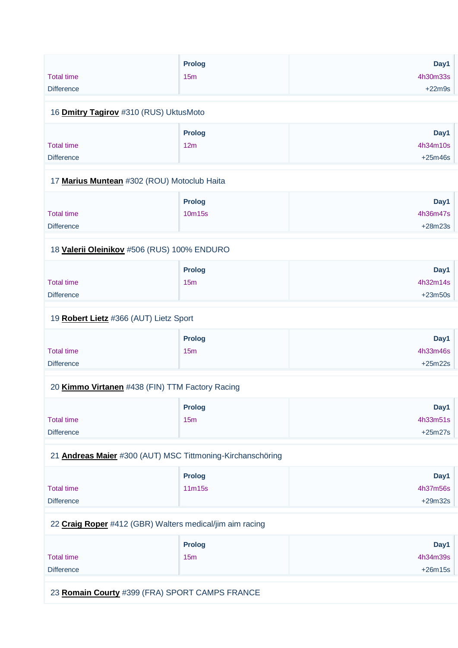|                   | <b>Prolog</b> | Day1     |
|-------------------|---------------|----------|
| <b>Total time</b> | 15m           | 4h30m33s |
| <b>Difference</b> |               | $+22m9s$ |

#### 16 **[Dmitry Tagirov](https://www.redbullromaniacs.com/for-competitors/profile/?e=rbr2019&b=310)** #310 (RUS) UktusMoto

|                   | <b>Prolog</b> | Day1      |
|-------------------|---------------|-----------|
| <b>Total time</b> | 12m           | 4h34m10s  |
| <b>Difference</b> |               | $+25m46s$ |

#### 17 **[Marius Muntean](https://www.redbullromaniacs.com/for-competitors/profile/?e=rbr2019&b=302)** #302 (ROU) Motoclub Haita

|                   | <b>Prolog</b> | Day1      |
|-------------------|---------------|-----------|
| <b>Total time</b> | 10m15s        | 4h36m47s  |
| <b>Difference</b> |               | $+28m23s$ |

## 18 **[Valerii Oleinikov](https://www.redbullromaniacs.com/for-competitors/profile/?e=rbr2019&b=506)** #506 (RUS) 100% ENDURO

|                   | <b>Prolog</b> | Day1      |
|-------------------|---------------|-----------|
| Total time        | 15m           | 4h32m14s  |
| <b>Difference</b> |               | $+23m50s$ |

#### 19 **[Robert Lietz](https://www.redbullromaniacs.com/for-competitors/profile/?e=rbr2019&b=366)** #366 (AUT) Lietz Sport

|                   | Prolog | Day1      |
|-------------------|--------|-----------|
| <b>Total time</b> | 15m    | 4h33m46s  |
| <b>Difference</b> |        | $+25m22s$ |

## 20 **[Kimmo Virtanen](https://www.redbullromaniacs.com/for-competitors/profile/?e=rbr2019&b=438)** #438 (FIN) TTM Factory Racing

|                   | <b>Prolog</b>   | Day1      |
|-------------------|-----------------|-----------|
| <b>Total time</b> | 15 <sub>m</sub> | 4h33m51s  |
| <b>Difference</b> |                 | $+25m27s$ |

## 21 **[Andreas Maier](https://www.redbullromaniacs.com/for-competitors/profile/?e=rbr2019&b=300)** #300 (AUT) MSC Tittmoning-Kirchanschöring

|                   | <b>Prolog</b> | Day1      |
|-------------------|---------------|-----------|
| Total time        | 11m15s        | 4h37m56s  |
| <b>Difference</b> |               | $+29m32s$ |

#### 22 **[Craig Roper](https://www.redbullromaniacs.com/for-competitors/profile/?e=rbr2019&b=412)** #412 (GBR) Walters medical/jim aim racing

|                   | <b>Prolog</b> | Day1      |
|-------------------|---------------|-----------|
| <b>Total time</b> | 15m           | 4h34m39s  |
| <b>Difference</b> |               | $+26m15s$ |

23 **[Romain Courty](https://www.redbullromaniacs.com/for-competitors/profile/?e=rbr2019&b=399)** #399 (FRA) SPORT CAMPS FRANCE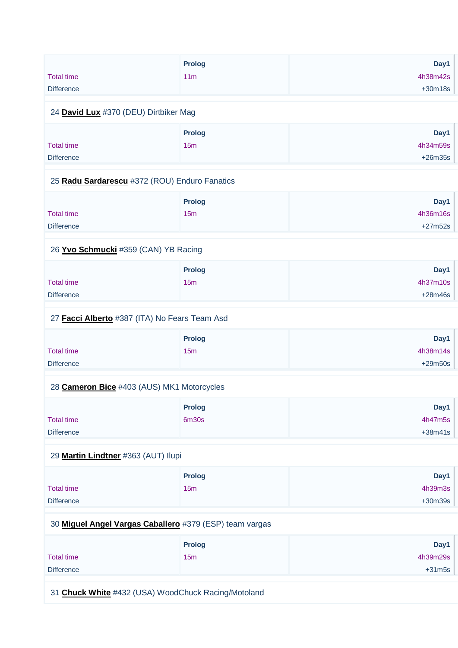|                   | <b>Prolog</b>   | Day1      |
|-------------------|-----------------|-----------|
| <b>Total time</b> | 11 <sub>m</sub> | 4h38m42s  |
| <b>Difference</b> |                 | $+30m18s$ |
|                   |                 |           |

#### 24 **[David Lux](https://www.redbullromaniacs.com/for-competitors/profile/?e=rbr2019&b=370)** #370 (DEU) Dirtbiker Mag

|                   | <b>Prolog</b> | Day1      |
|-------------------|---------------|-----------|
| <b>Total time</b> | 15m           | 4h34m59s  |
| <b>Difference</b> |               | $+26m35s$ |

#### 25 **[Radu Sardarescu](https://www.redbullromaniacs.com/for-competitors/profile/?e=rbr2019&b=372)** #372 (ROU) Enduro Fanatics

|                   | <b>Prolog</b>   | Day1      |
|-------------------|-----------------|-----------|
| <b>Total time</b> | 15 <sub>m</sub> | 4h36m16s  |
| <b>Difference</b> |                 | $+27m52s$ |

## 26 **[Yvo Schmucki](https://www.redbullromaniacs.com/for-competitors/profile/?e=rbr2019&b=359)** #359 (CAN) YB Racing

|                   | <b>Prolog</b> | Day1      |
|-------------------|---------------|-----------|
| Total time        | 15m           | 4h37m10s  |
| <b>Difference</b> |               | $+28m46s$ |

#### 27 **[Facci Alberto](https://www.redbullromaniacs.com/for-competitors/profile/?e=rbr2019&b=387)** #387 (ITA) No Fears Team Asd

|                   | <b>Prolog</b> | Day1      |
|-------------------|---------------|-----------|
| <b>Total time</b> | 15m           | 4h38m14s  |
| <b>Difference</b> |               | $+29m50s$ |

#### 28 **[Cameron Bice](https://www.redbullromaniacs.com/for-competitors/profile/?e=rbr2019&b=403)** #403 (AUS) MK1 Motorcycles

|                   | <b>Prolog</b> | Day1      |
|-------------------|---------------|-----------|
| <b>Total time</b> | 6m30s         | 4h47m5s   |
| <b>Difference</b> |               | $+38m41s$ |

## 29 **[Martin Lindtner](https://www.redbullromaniacs.com/for-competitors/profile/?e=rbr2019&b=363)** #363 (AUT) Ilupi

|                   | <b>Prolog</b>   | Day1      |
|-------------------|-----------------|-----------|
| <b>Total time</b> | 15 <sub>m</sub> | 4h39m3s   |
| <b>Difference</b> |                 | $+30m39s$ |

#### 30 **[Miguel Angel Vargas Caballero](https://www.redbullromaniacs.com/for-competitors/profile/?e=rbr2019&b=379)** #379 (ESP) team vargas

|                   | <b>Prolog</b> | Day1     |
|-------------------|---------------|----------|
| <b>Total time</b> | 15m           | 4h39m29s |
| <b>Difference</b> |               | $+31m5s$ |

31 **[Chuck White](https://www.redbullromaniacs.com/for-competitors/profile/?e=rbr2019&b=432)** #432 (USA) WoodChuck Racing/Motoland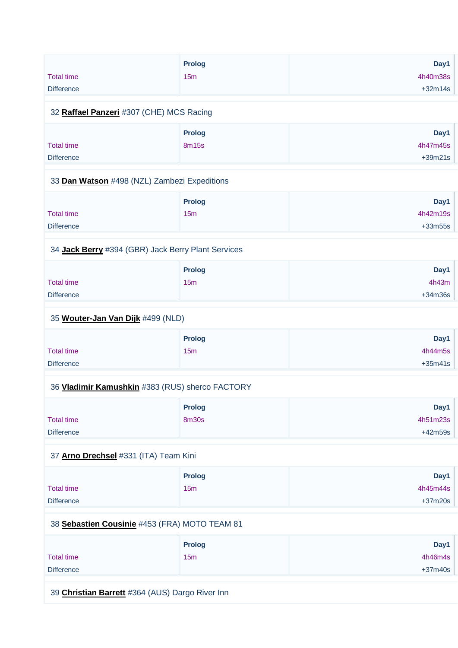| <b>Total time</b><br><b>Difference</b>       | <b>Prolog</b><br>15 <sub>m</sub> | Day1<br>4h40m38s<br>$+32m14s$ |
|----------------------------------------------|----------------------------------|-------------------------------|
| 32 Raffael Panzeri #307 (CHE) MCS Racing     |                                  |                               |
| <b>Total time</b><br><b>Difference</b>       | <b>Prolog</b><br>8m15s           | Day1<br>4h47m45s<br>$+39m21s$ |
| 33 Dan Watson #498 (NZL) Zambezi Expeditions |                                  |                               |
|                                              | <b>Double of</b>                 | <b>DEC. 4</b>                 |

|                   | Prolog | Day1      |
|-------------------|--------|-----------|
| Total time        | 15m    | 4h42m19s  |
| <b>Difference</b> |        | $+33m55s$ |

#### 34 **[Jack Berry](https://www.redbullromaniacs.com/for-competitors/profile/?e=rbr2019&b=394)** #394 (GBR) Jack Berry Plant Services

|                   | <b>Prolog</b> | Day1      |
|-------------------|---------------|-----------|
| <b>Total time</b> | 15m           | 4h43m     |
| <b>Difference</b> |               | $+34m36s$ |

## 35 **[Wouter-Jan Van Dijk](https://www.redbullromaniacs.com/for-competitors/profile/?e=rbr2019&b=499)** #499 (NLD)

|                   | Prolog | Day1      |
|-------------------|--------|-----------|
| <b>Total time</b> | 15m    | 4h44m5s   |
| <b>Difference</b> |        | $+35m41s$ |

## 36 **[Vladimir Kamushkin](https://www.redbullromaniacs.com/for-competitors/profile/?e=rbr2019&b=383)** #383 (RUS) sherco FACTORY

|                   | <b>Prolog</b> | Day1      |
|-------------------|---------------|-----------|
| <b>Total time</b> | 8m30s         | 4h51m23s  |
| <b>Difference</b> |               | $+42m59s$ |

## 37 **[Arno Drechsel](https://www.redbullromaniacs.com/for-competitors/profile/?e=rbr2019&b=331)** #331 (ITA) Team Kini

|                   | <b>Prolog</b> | Day1      |
|-------------------|---------------|-----------|
| <b>Total time</b> | 15m           | 4h45m44s  |
| <b>Difference</b> |               | $+37m20s$ |

## 38 **[Sebastien Cousinie](https://www.redbullromaniacs.com/for-competitors/profile/?e=rbr2019&b=453)** #453 (FRA) MOTO TEAM 81

|                   | Prolog | Day1      |
|-------------------|--------|-----------|
| Total time        | 15m    | 4h46m4s   |
| <b>Difference</b> |        | $+37m40s$ |

39 **[Christian Barrett](https://www.redbullromaniacs.com/for-competitors/profile/?e=rbr2019&b=364)** #364 (AUS) Dargo River Inn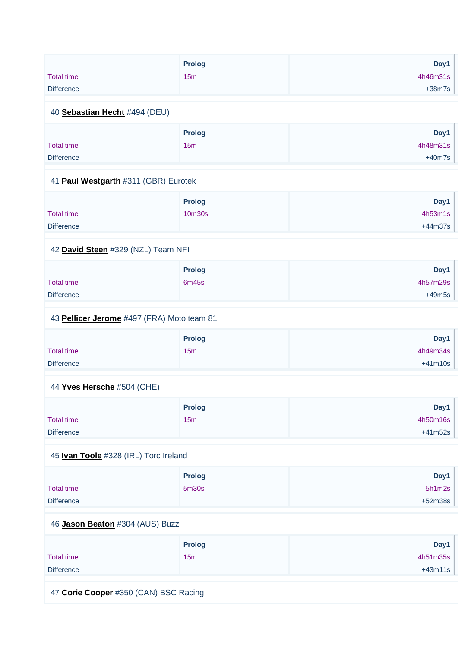|                                            | <b>Prolog</b> | Day1      |
|--------------------------------------------|---------------|-----------|
| <b>Total time</b>                          | 15m           | 4h46m31s  |
| <b>Difference</b>                          |               | $+38m7s$  |
| 40 Sebastian Hecht #494 (DEU)              |               |           |
|                                            | <b>Prolog</b> | Day1      |
| <b>Total time</b>                          | 15m           | 4h48m31s  |
| <b>Difference</b>                          |               | $+40m7s$  |
| 41 Paul Westgarth #311 (GBR) Eurotek       |               |           |
|                                            | <b>Prolog</b> | Day1      |
| <b>Total time</b>                          | 10m30s        | 4h53m1s   |
| <b>Difference</b>                          |               | $+44m37s$ |
|                                            |               |           |
| 42 David Steen #329 (NZL) Team NFI         |               |           |
|                                            | <b>Prolog</b> | Day1      |
| <b>Total time</b>                          | 6m45s         | 4h57m29s  |
| <b>Difference</b>                          |               | $+49m5s$  |
|                                            |               |           |
| 43 Pellicer Jerome #497 (FRA) Moto team 81 |               |           |
|                                            | <b>Prolog</b> | Day1      |
| <b>Total time</b>                          | 15m           | 4h49m34s  |
| <b>Difference</b>                          |               | $+41m10s$ |
|                                            |               |           |
| 44 Yves Hersche #504 (CHE)                 |               |           |
|                                            |               |           |

|                   | <b>Prolog</b>   | Day1      |
|-------------------|-----------------|-----------|
| <b>Total time</b> | 15 <sub>m</sub> | 4h50m16s  |
| <b>Difference</b> |                 | $+41m52s$ |

## 45 **[Ivan Toole](https://www.redbullromaniacs.com/for-competitors/profile/?e=rbr2019&b=328)** #328 (IRL) Torc Ireland

|                   | <b>Prolog</b>     | Day1      |
|-------------------|-------------------|-----------|
| <b>Total time</b> | 5 <sub>m30s</sub> | 5h1m2s    |
| <b>Difference</b> |                   | $+52m38s$ |

## 46 **[Jason Beaton](https://www.redbullromaniacs.com/for-competitors/profile/?e=rbr2019&b=304)** #304 (AUS) Buzz

|                   | <b>Prolog</b> | Day1      |
|-------------------|---------------|-----------|
| <b>Total time</b> | 15m           | 4h51m35s  |
| <b>Difference</b> |               | $+43m11s$ |
|                   |               |           |

47 **[Corie Cooper](https://www.redbullromaniacs.com/for-competitors/profile/?e=rbr2019&b=350)** #350 (CAN) BSC Racing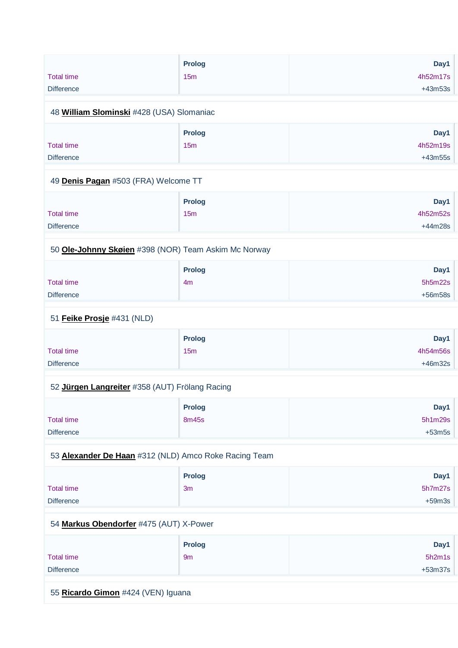|                   | <b>Prolog</b> | Day1      |
|-------------------|---------------|-----------|
| <b>Total time</b> | 15m           | 4h52m17s  |
| <b>Difference</b> |               | $+43m53s$ |

## 48 **[William Slominski](https://www.redbullromaniacs.com/for-competitors/profile/?e=rbr2019&b=428)** #428 (USA) Slomaniac

|                   | <b>Prolog</b> | Day1      |
|-------------------|---------------|-----------|
| <b>Total time</b> | 15m           | 4h52m19s  |
| <b>Difference</b> |               | $+43m55s$ |

#### 49 **[Denis Pagan](https://www.redbullromaniacs.com/for-competitors/profile/?e=rbr2019&b=503)** #503 (FRA) Welcome TT

|                   | <b>Prolog</b>   | Day1      |
|-------------------|-----------------|-----------|
| Total time        | 15 <sub>m</sub> | 4h52m52s  |
| <b>Difference</b> |                 | $+44m28s$ |

## 50 **[Ole-Johnny Skøien](https://www.redbullromaniacs.com/for-competitors/profile/?e=rbr2019&b=398)** #398 (NOR) Team Askim Mc Norway

|                   | Prolog         | Day1      |
|-------------------|----------------|-----------|
| Total time        | 4 <sub>m</sub> | 5h5m22s   |
| <b>Difference</b> |                | $+56m58s$ |

#### 51 **[Feike Prosje](https://www.redbullromaniacs.com/for-competitors/profile/?e=rbr2019&b=431)** #431 (NLD)

|                   | <b>Prolog</b> | Day1      |
|-------------------|---------------|-----------|
| <b>Total time</b> | 15m           | 4h54m56s  |
| <b>Difference</b> |               | $+46m32s$ |

#### 52 **[Jürgen Langreiter](https://www.redbullromaniacs.com/for-competitors/profile/?e=rbr2019&b=358)** #358 (AUT) Frölang Racing

|                   | <b>Prolog</b> | Day1     |
|-------------------|---------------|----------|
| <b>Total time</b> | 8m45s         | 5h1m29s  |
| <b>Difference</b> |               | $+53m5s$ |

## 53 **[Alexander De Haan](https://www.redbullromaniacs.com/for-competitors/profile/?e=rbr2019&b=312)** #312 (NLD) Amco Roke Racing Team

|                   | <b>Prolog</b>  | Day1     |
|-------------------|----------------|----------|
| <b>Total time</b> | 3 <sub>m</sub> | 5h7m27s  |
| <b>Difference</b> |                | $+59m3s$ |

#### 54 **[Markus Obendorfer](https://www.redbullromaniacs.com/for-competitors/profile/?e=rbr2019&b=475)** #475 (AUT) X-Power

|                   | <b>Prolog</b> | Day1      |
|-------------------|---------------|-----------|
| <b>Total time</b> | 9m            | 5h2m1s    |
| <b>Difference</b> |               | $+53m37s$ |

55 **[Ricardo Gimon](https://www.redbullromaniacs.com/for-competitors/profile/?e=rbr2019&b=424)** #424 (VEN) Iguana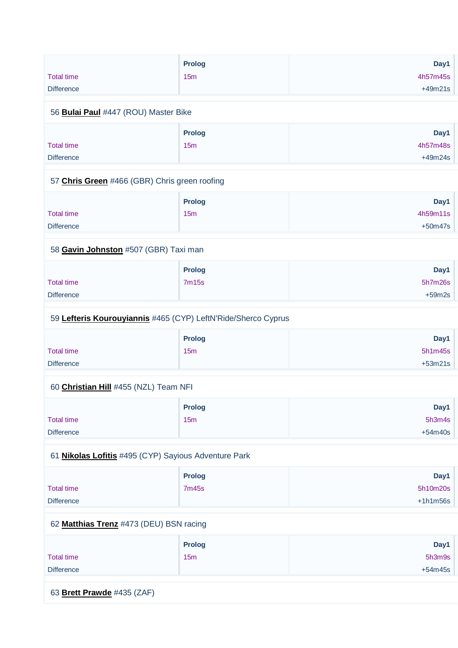|                                                               | Prolog                 | Day1            |
|---------------------------------------------------------------|------------------------|-----------------|
| <b>Total time</b>                                             | 15m                    | 4h57m45s        |
| <b>Difference</b>                                             |                        | $+49m21s$       |
| 56 Bulai Paul #447 (ROU) Master Bike                          |                        |                 |
|                                                               | Prolog                 | Day1            |
| <b>Total time</b>                                             | 15m                    | 4h57m48s        |
| <b>Difference</b>                                             |                        | $+49m24s$       |
|                                                               |                        |                 |
| 57 Chris Green #466 (GBR) Chris green roofing                 |                        |                 |
|                                                               | Prolog                 | Day1            |
| <b>Total time</b>                                             | 15m                    | 4h59m11s        |
| <b>Difference</b>                                             |                        | $+50m47s$       |
| 58 Gavin Johnston #507 (GBR) Taxi man                         |                        |                 |
|                                                               |                        |                 |
| <b>Total time</b>                                             | Prolog<br><b>7m15s</b> | Day1<br>5h7m26s |
| <b>Difference</b>                                             |                        | $+59m2s$        |
|                                                               |                        |                 |
| 59 Lefteris Kourouyiannis #465 (CYP) LeftN'Ride/Sherco Cyprus |                        |                 |
|                                                               | Prolog                 | Day1            |
| <b>Total time</b>                                             | 15m                    | 5h1m45s         |
| <b>Difference</b>                                             |                        | $+53m21s$       |
| 60 Christian Hill #455 (NZL) Team NFI                         |                        |                 |
|                                                               | Prolog                 | Day1            |
| <b>Total time</b>                                             | 15m                    | 5h3m4s          |
| <b>Difference</b>                                             |                        | $+54m40s$       |
|                                                               |                        |                 |
| 61 Nikolas Lofitis #495 (CYP) Sayious Adventure Park          |                        |                 |
|                                                               | Prolog                 | Day1            |
| <b>Total time</b>                                             | <b>7m45s</b>           | 5h10m20s        |
| <b>Difference</b>                                             |                        | $+1h1m56s$      |
| 62 Matthias Trenz #473 (DEU) BSN racing                       |                        |                 |
|                                                               | <b>Prolog</b>          | Day1            |
| <b>Total time</b>                                             | 15m                    | 5h3m9s          |
| <b>Difference</b>                                             |                        | $+54m45s$       |
|                                                               |                        |                 |
| 63 Brett Prawde #435 (ZAF)                                    |                        |                 |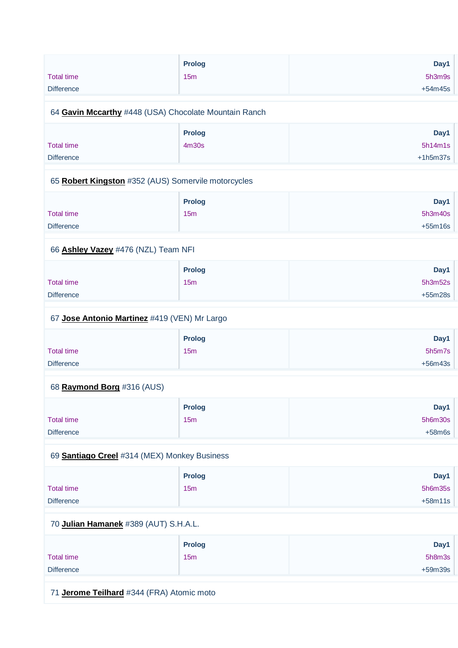| <b>Total time</b><br><b>Difference</b>                | <b>Prolog</b><br>15 <sub>m</sub> | Day1<br>5h3m9s<br>$+54m45s$ |
|-------------------------------------------------------|----------------------------------|-----------------------------|
| 64 Gavin Mccarthy #448 (USA) Chocolate Mountain Ranch |                                  |                             |
| <b>Total time</b>                                     | <b>Prolog</b><br>4m30s           | Day1<br>5h14m1s             |
| <b>Difference</b>                                     |                                  | $+1h5m37s$                  |

#### 65 **[Robert Kingston](https://www.redbullromaniacs.com/for-competitors/profile/?e=rbr2019&b=352)** #352 (AUS) Somervile motorcycles

|                   | <b>Prolog</b> | Day1      |
|-------------------|---------------|-----------|
| <b>Total time</b> | 15m           | 5h3m40s   |
| <b>Difference</b> |               | $+55m16s$ |

## 66 **[Ashley Vazey](https://www.redbullromaniacs.com/for-competitors/profile/?e=rbr2019&b=476)** #476 (NZL) Team NFI

|                   | <b>Prolog</b>   | Day1      |
|-------------------|-----------------|-----------|
| <b>Total time</b> | 15 <sub>m</sub> | 5h3m52s   |
| <b>Difference</b> |                 | $+55m28s$ |

## 67 **[Jose Antonio Martinez](https://www.redbullromaniacs.com/for-competitors/profile/?e=rbr2019&b=419)** #419 (VEN) Mr Largo

|                   | <b>Prolog</b>   | Day1      |
|-------------------|-----------------|-----------|
| <b>Total time</b> | 15 <sub>m</sub> | 5h5m7s    |
| <b>Difference</b> |                 | $+56m43s$ |

## 68 **[Raymond Borg](https://www.redbullromaniacs.com/for-competitors/profile/?e=rbr2019&b=316)** #316 (AUS)

|                   | <b>Prolog</b> | Day1     |
|-------------------|---------------|----------|
| <b>Total time</b> | 15m           | 5h6m30s  |
| <b>Difference</b> |               | $+58m6s$ |

## 69 **[Santiago Creel](https://www.redbullromaniacs.com/for-competitors/profile/?e=rbr2019&b=314)** #314 (MEX) Monkey Business

|                   | <b>Prolog</b> | Day1      |
|-------------------|---------------|-----------|
| <b>Total time</b> | 15m           | 5h6m35s   |
| <b>Difference</b> |               | $+58m11s$ |

#### 70 **[Julian Hamanek](https://www.redbullromaniacs.com/for-competitors/profile/?e=rbr2019&b=389)** #389 (AUT) S.H.A.L.

|                   | <b>Prolog</b> | Day1      |
|-------------------|---------------|-----------|
| <b>Total time</b> | 15m           | 5h8m3s    |
| <b>Difference</b> |               | $+59m39s$ |

## 71 **[Jerome Teilhard](https://www.redbullromaniacs.com/for-competitors/profile/?e=rbr2019&b=344)** #344 (FRA) Atomic moto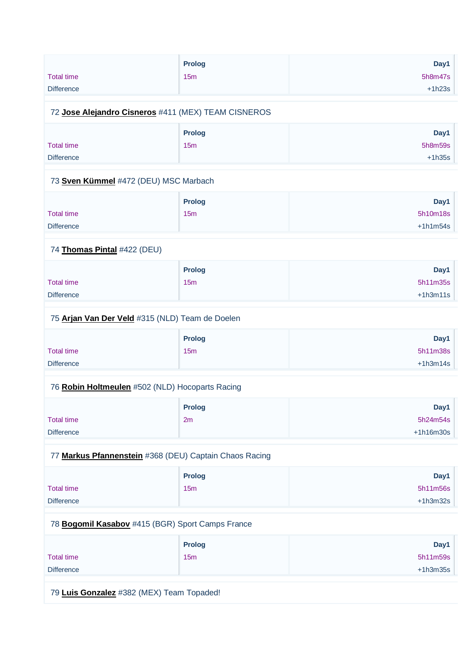| <b>Total time</b><br><b>Difference</b>                 | Prolog<br>15m        | Day1<br>5h8m47s<br>$+1h23s$    |
|--------------------------------------------------------|----------------------|--------------------------------|
| 72 Jose Alejandro Cisneros #411 (MEX) TEAM CISNEROS    |                      |                                |
| <b>Total time</b><br><b>Difference</b>                 | <b>Prolog</b><br>15m | Day1<br>5h8m59s<br>$+1h35s$    |
| 73 Sven Kümmel #472 (DEU) MSC Marbach                  |                      |                                |
| <b>Total time</b><br><b>Difference</b>                 | <b>Prolog</b><br>15m | Day1<br>5h10m18s<br>$+1h1m54s$ |
| 74 Thomas Pintal #422 (DEU)                            |                      |                                |
| <b>Total time</b><br>Difference                        | <b>Prolog</b><br>15m | Day1<br>5h11m35s<br>$+1h3m11s$ |
| 75 Arjan Van Der Veld #315 (NLD) Team de Doelen        |                      |                                |
| <b>Total time</b><br><b>Difference</b>                 | <b>Prolog</b><br>15m | Day1<br>5h11m38s<br>$+1h3m14s$ |
| 76 Robin Holtmeulen #502 (NLD) Hocoparts Racing        |                      |                                |
| <b>Total time</b><br><b>Difference</b>                 | <b>Prolog</b><br>2m  | Day1<br>5h24m54s<br>+1h16m30s  |
| 77 Markus Pfannenstein #368 (DEU) Captain Chaos Racing |                      |                                |
| <b>Total time</b><br><b>Difference</b>                 | <b>Prolog</b><br>15m | Day1<br>5h11m56s<br>$+1h3m32s$ |
| 78 Bogomil Kasabov #415 (BGR) Sport Camps France       |                      |                                |
| <b>Total time</b><br><b>Difference</b>                 | <b>Prolog</b><br>15m | Day1<br>5h11m59s<br>$+1h3m35s$ |
| 79 Luis Gonzalez #382 (MEX) Team Topaded!              |                      |                                |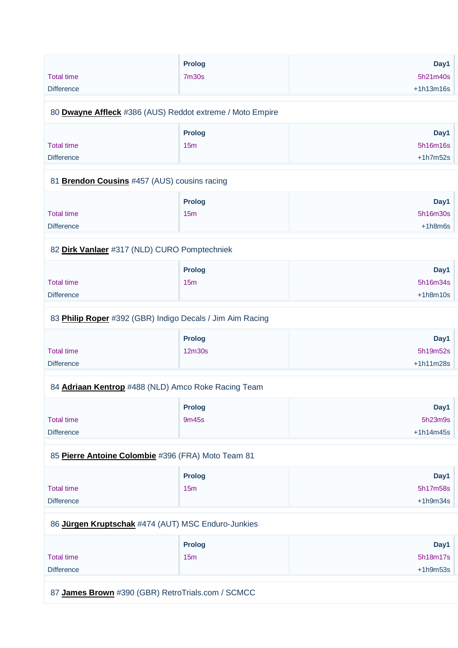|                                                           | <b>Prolog</b> | Day1        |
|-----------------------------------------------------------|---------------|-------------|
| <b>Total time</b>                                         | <b>7m30s</b>  | 5h21m40s    |
| <b>Difference</b>                                         |               | $+1h13m16s$ |
|                                                           |               |             |
| 80 Dwayne Affleck #386 (AUS) Reddot extreme / Moto Empire |               |             |
|                                                           | <b>Prolog</b> | Day1        |
| <b>Total time</b>                                         | 15m           | 5h16m16s    |
| <b>Difference</b>                                         |               | $+1h7m52s$  |
| 81 Brendon Cousins #457 (AUS) cousins racing              |               |             |
|                                                           | <b>Prolog</b> | Day1        |
| <b>Total time</b>                                         | 15m           | 5h16m30s    |
| <b>Difference</b>                                         |               | $+1h8m6s$   |
|                                                           |               |             |
| 82 Dirk Vanlaer #317 (NLD) CURO Pomptechniek              |               |             |
|                                                           | Prolog        | Day1        |
| <b>Total time</b>                                         | 15m           | 5h16m34s    |
| <b>Difference</b>                                         |               | $+1h8m10s$  |
| 83 Philip Roper #392 (GBR) Indigo Decals / Jim Aim Racing |               |             |
|                                                           | <b>Prolog</b> | Day1        |
| <b>Total time</b>                                         | 12m30s        | 5h19m52s    |
| <b>Difference</b>                                         |               | $+1h11m28s$ |
| 84 Adriaan Kentrop #488 (NLD) Amco Roke Racing Team       |               |             |
|                                                           | <b>Prolog</b> | Day1        |
| <b>Total time</b>                                         | 9m45s         | 5h23m9s     |
| <b>Difference</b>                                         |               | $+1h14m45s$ |
| 85 Pierre Antoine Colombie #396 (FRA) Moto Team 81        |               |             |
|                                                           | <b>Prolog</b> | Day1        |
| <b>Total time</b>                                         | 15m           | 5h17m58s    |
| <b>Difference</b>                                         |               | $+1h9m34s$  |
|                                                           |               |             |
| 86 Jürgen Kruptschak #474 (AUT) MSC Enduro-Junkies        |               |             |
|                                                           | <b>Prolog</b> | Day1        |
| <b>Total time</b>                                         | 15m           | 5h18m17s    |
| <b>Difference</b>                                         |               | $+1h9m53s$  |
|                                                           |               |             |

87 **[James Brown](https://www.redbullromaniacs.com/for-competitors/profile/?e=rbr2019&b=390)** #390 (GBR) RetroTrials.com / SCMCC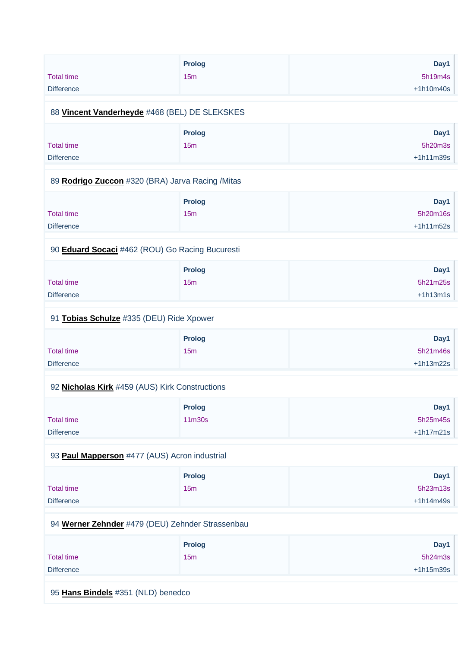| <b>Total time</b><br><b>Difference</b>           | <b>Prolog</b><br>15m | Day1<br>5h19m4s<br>$+1h10m40s$  |
|--------------------------------------------------|----------------------|---------------------------------|
| 88 Vincent Vanderheyde #468 (BEL) DE SLEKSKES    |                      |                                 |
| <b>Total time</b><br><b>Difference</b>           | Prolog<br>15m        | Day1<br>5h20m3s<br>$+1h11m39s$  |
| 89 Rodrigo Zuccon #320 (BRA) Jarva Racing /Mitas |                      |                                 |
| <b>Total time</b><br><b>Difference</b>           | <b>Prolog</b><br>15m | Day1<br>5h20m16s<br>$+1h11m52s$ |
| 90 Eduard Socaci #462 (ROU) Go Racing Bucuresti  |                      |                                 |
| <b>Total time</b><br><b>Difference</b>           | <b>Prolog</b><br>15m | Day1<br>5h21m25s<br>$+1h13m1s$  |
| 91 Tobias Schulze #335 (DEU) Ride Xpower         |                      |                                 |
| <b>Total time</b><br><b>Difference</b>           | Prolog<br>15m        | Day1<br>5h21m46s<br>$+1h13m22s$ |
| 92 Nicholas Kirk #459 (AUS) Kirk Constructions   |                      |                                 |
| <b>Total time</b><br><b>Difference</b>           | Prolog<br>11m30s     | Day1<br>5h25m45s<br>$+1h17m21s$ |
| 93 Paul Mapperson #477 (AUS) Acron industrial    |                      |                                 |
| <b>Total time</b><br><b>Difference</b>           | <b>Prolog</b><br>15m | Day1<br>5h23m13s<br>$+1h14m49s$ |
| 94 Werner Zehnder #479 (DEU) Zehnder Strassenbau |                      |                                 |
| <b>Total time</b><br><b>Difference</b>           | <b>Prolog</b><br>15m | Day1<br>5h24m3s<br>$+1h15m39s$  |

95 **[Hans Bindels](https://www.redbullromaniacs.com/for-competitors/profile/?e=rbr2019&b=351)** #351 (NLD) benedco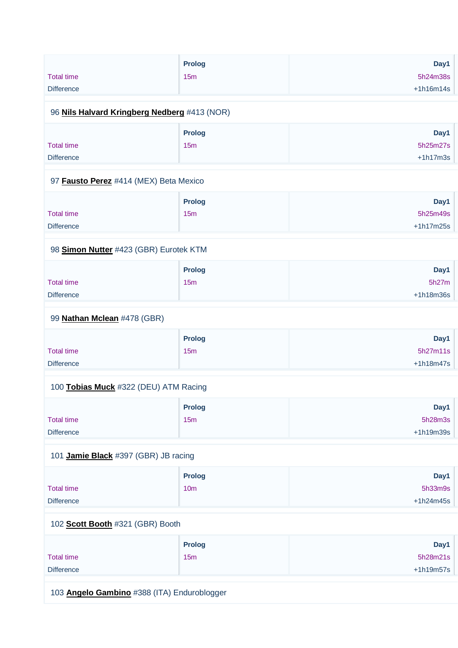|                                              | <b>Prolog</b>   | Day1                    |
|----------------------------------------------|-----------------|-------------------------|
| <b>Total time</b><br><b>Difference</b>       | 15m             | 5h24m38s<br>$+1h16m14s$ |
|                                              |                 |                         |
| 96 Nils Halvard Kringberg Nedberg #413 (NOR) |                 |                         |
|                                              | <b>Prolog</b>   | Day1                    |
| <b>Total time</b>                            | 15m             | 5h25m27s                |
| <b>Difference</b>                            |                 | $+1h17m3s$              |
| 97 Fausto Perez #414 (MEX) Beta Mexico       |                 |                         |
|                                              | <b>Prolog</b>   | Day1                    |
| <b>Total time</b>                            | 15m             | 5h25m49s                |
| <b>Difference</b>                            |                 | $+1h17m25s$             |
| 98 Simon Nutter #423 (GBR) Eurotek KTM       |                 |                         |
|                                              | Prolog          | Day1                    |
| <b>Total time</b>                            | 15m             | 5h27m                   |
| <b>Difference</b>                            |                 | $+1h18m36s$             |
| 99 Nathan Mclean #478 (GBR)                  |                 |                         |
|                                              | Prolog          | Day1                    |
| <b>Total time</b>                            | 15 <sub>m</sub> | 5h27m11s                |
| <b>Difference</b>                            |                 | $+1h18m47s$             |
| 100 Tobias Muck #322 (DEU) ATM Racing        |                 |                         |
|                                              | <b>Prolog</b>   | Day1                    |
| <b>Total time</b>                            | 15m             | 5h28m3s                 |
| <b>Difference</b>                            |                 | $+1h19m39s$             |
| 101 Jamie Black #397 (GBR) JB racing         |                 |                         |
|                                              | <b>Prolog</b>   | Day1                    |
| <b>Total time</b>                            | 10 <sub>m</sub> | 5h33m9s                 |
| <b>Difference</b>                            |                 | $+1h24m45s$             |
| 102 Scott Booth #321 (GBR) Booth             |                 |                         |
|                                              | <b>Prolog</b>   | Day1                    |
| <b>Total time</b>                            | 15m             | 5h28m21s                |
| <b>Difference</b>                            |                 | $+1h19m57s$             |
| 103 Angelo Gambino #388 (ITA) Enduroblogger  |                 |                         |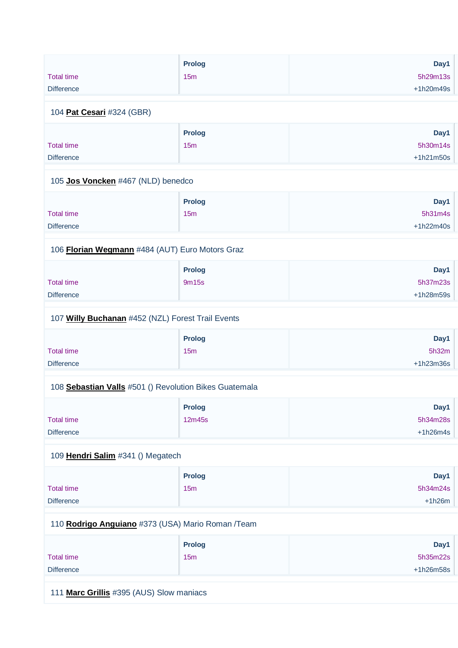|                                                        | Prolog        | Day1        |
|--------------------------------------------------------|---------------|-------------|
| <b>Total time</b>                                      | 15m           | 5h29m13s    |
| <b>Difference</b>                                      |               | +1h20m49s   |
|                                                        |               |             |
| 104 Pat Cesari #324 (GBR)                              |               |             |
|                                                        | Prolog        | Day1        |
| <b>Total time</b>                                      | 15m           | 5h30m14s    |
| <b>Difference</b>                                      |               | $+1h21m50s$ |
|                                                        |               |             |
| 105 Jos Voncken #467 (NLD) benedco                     |               |             |
|                                                        | <b>Prolog</b> | Day1        |
| <b>Total time</b>                                      | 15m           | 5h31m4s     |
| <b>Difference</b>                                      |               | $+1h22m40s$ |
|                                                        |               |             |
| 106 Florian Wegmann #484 (AUT) Euro Motors Graz        |               |             |
|                                                        | Prolog        | Day1        |
| <b>Total time</b>                                      | 9m15s         | 5h37m23s    |
| <b>Difference</b>                                      |               | +1h28m59s   |
|                                                        |               |             |
| 107 Willy Buchanan #452 (NZL) Forest Trail Events      |               |             |
|                                                        | <b>Prolog</b> | Day1        |
| <b>Total time</b>                                      | 15m           | 5h32m       |
| <b>Difference</b>                                      |               | +1h23m36s   |
|                                                        |               |             |
| 108 Sebastian Valls #501 () Revolution Bikes Guatemala |               |             |
|                                                        | <b>Prolog</b> | Day1        |
| <b>Total time</b>                                      | 12m45s        | 5h34m28s    |
| <b>Difference</b>                                      |               | $+1h26m4s$  |
|                                                        |               |             |
| 109 Hendri Salim #341 () Megatech                      |               |             |
|                                                        | Prolog        | Day1        |
| <b>Total time</b>                                      | 15m           | 5h34m24s    |
| <b>Difference</b>                                      |               | $+1h26m$    |
|                                                        |               |             |
| 110 Rodrigo Anguiano #373 (USA) Mario Roman / Team     |               |             |
|                                                        | <b>Prolog</b> | Day1        |
| <b>Total time</b>                                      | 15m           | 5h35m22s    |
| <b>Difference</b>                                      |               | +1h26m58s   |
|                                                        |               |             |
|                                                        |               |             |

111 **[Marc Grillis](https://www.redbullromaniacs.com/for-competitors/profile/?e=rbr2019&b=395)** #395 (AUS) Slow maniacs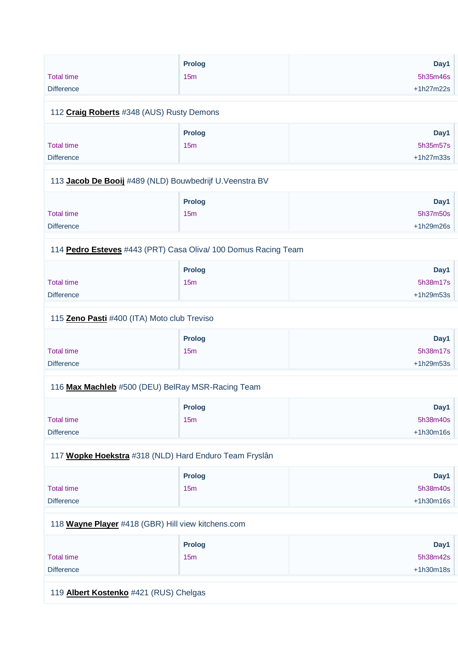|                   | <b>Prolog</b> | Day1        |
|-------------------|---------------|-------------|
| <b>Total time</b> | 15m           | 5h35m46s    |
| <b>Difference</b> |               | $+1h27m22s$ |

#### 112 **[Craig Roberts](https://www.redbullromaniacs.com/for-competitors/profile/?e=rbr2019&b=348)** #348 (AUS) Rusty Demons

|                   | Prolog | Day1        |
|-------------------|--------|-------------|
| <b>Total time</b> | 15m    | 5h35m57s    |
| <b>Difference</b> |        | $+1h27m33s$ |

#### 113 **[Jacob De Booij](https://www.redbullromaniacs.com/for-competitors/profile/?e=rbr2019&b=489)** #489 (NLD) Bouwbedrijf U.Veenstra BV

|                   | <b>Prolog</b> | Day1        |
|-------------------|---------------|-------------|
| <b>Total time</b> | 15m           | 5h37m50s    |
| <b>Difference</b> |               | $+1h29m26s$ |

#### 114 **[Pedro Esteves](https://www.redbullromaniacs.com/for-competitors/profile/?e=rbr2019&b=443)** #443 (PRT) Casa Oliva/ 100 Domus Racing Team

|                   | <b>Prolog</b> | Day1      |
|-------------------|---------------|-----------|
| <b>Total time</b> | 15m           | 5h38m17s  |
| <b>Difference</b> |               | +1h29m53s |

#### 115 **[Zeno Pasti](https://www.redbullromaniacs.com/for-competitors/profile/?e=rbr2019&b=400)** #400 (ITA) Moto club Treviso

|                   | <b>Prolog</b> | Day1      |
|-------------------|---------------|-----------|
| <b>Total time</b> | 15m           | 5h38m17s  |
| <b>Difference</b> |               | +1h29m53s |

#### 116 **[Max Machleb](https://www.redbullromaniacs.com/for-competitors/profile/?e=rbr2019&b=500)** #500 (DEU) BelRay MSR-Racing Team

|                   | <b>Prolog</b> | Day1        |
|-------------------|---------------|-------------|
| <b>Total time</b> | 15m           | 5h38m40s    |
| <b>Difference</b> |               | $+1h30m16s$ |

## 117 **[Wopke Hoekstra](https://www.redbullromaniacs.com/for-competitors/profile/?e=rbr2019&b=318)** #318 (NLD) Hard Enduro Team Fryslân

|                   | <b>Prolog</b> | Day1        |
|-------------------|---------------|-------------|
| <b>Total time</b> | 15m           | 5h38m40s    |
| <b>Difference</b> |               | $+1h30m16s$ |

#### 118 **[Wayne Player](https://www.redbullromaniacs.com/for-competitors/profile/?e=rbr2019&b=418)** #418 (GBR) Hill view kitchens.com

|                   | <b>Prolog</b> | Day1        |
|-------------------|---------------|-------------|
| <b>Total time</b> | 15m           | 5h38m42s    |
| <b>Difference</b> |               | $+1h30m18s$ |

119 **[Albert Kostenko](https://www.redbullromaniacs.com/for-competitors/profile/?e=rbr2019&b=421)** #421 (RUS) Chelgas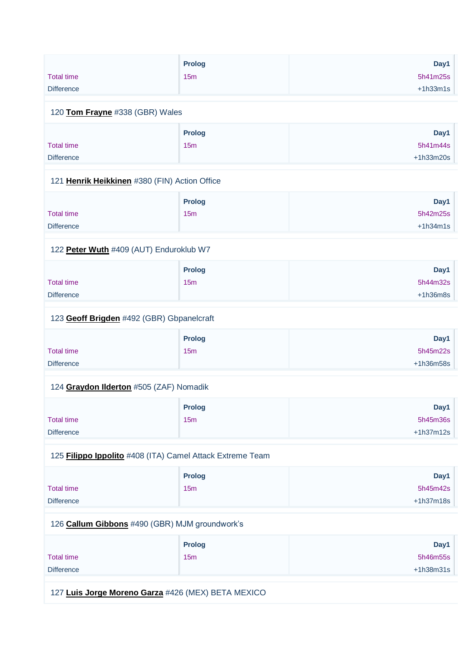|                   | <b>Prolog</b> | Day1       |
|-------------------|---------------|------------|
| <b>Total time</b> | 15m           | 5h41m25s   |
| <b>Difference</b> |               | $+1h33m1s$ |

#### 120 **[Tom Frayne](https://www.redbullromaniacs.com/for-competitors/profile/?e=rbr2019&b=338)** #338 (GBR) Wales

|                   | <b>Prolog</b> | Day1        |
|-------------------|---------------|-------------|
| <b>Total time</b> | 15m           | 5h41m44s    |
| <b>Difference</b> |               | $+1h33m20s$ |

#### 121 **[Henrik Heikkinen](https://www.redbullromaniacs.com/for-competitors/profile/?e=rbr2019&b=380)** #380 (FIN) Action Office

|                   | <b>Prolog</b> | Day1       |
|-------------------|---------------|------------|
| <b>Total time</b> | 15m           | 5h42m25s   |
| <b>Difference</b> |               | $+1h34m1s$ |

#### 122 **[Peter Wuth](https://www.redbullromaniacs.com/for-competitors/profile/?e=rbr2019&b=409)** #409 (AUT) Enduroklub W7

|                   | <b>Prolog</b>   | Day1       |
|-------------------|-----------------|------------|
| Total time        | 15 <sub>m</sub> | 5h44m32s   |
| <b>Difference</b> |                 | $+1h36m8s$ |

#### 123 **[Geoff Brigden](https://www.redbullromaniacs.com/for-competitors/profile/?e=rbr2019&b=492)** #492 (GBR) Gbpanelcraft

|                   | <b>Prolog</b> | Day1        |
|-------------------|---------------|-------------|
| <b>Total time</b> | 15m           | 5h45m22s    |
| <b>Difference</b> |               | $+1h36m58s$ |

#### 124 **[Graydon Ilderton](https://www.redbullromaniacs.com/for-competitors/profile/?e=rbr2019&b=505)** #505 (ZAF) Nomadik

|                   | <b>Prolog</b> | Day1        |
|-------------------|---------------|-------------|
| Total time        | 15m           | 5h45m36s    |
| <b>Difference</b> |               | $+1h37m12s$ |

## 125 **[Filippo Ippolito](https://www.redbullromaniacs.com/for-competitors/profile/?e=rbr2019&b=408)** #408 (ITA) Camel Attack Extreme Team

|                   | <b>Prolog</b> | Day1        |
|-------------------|---------------|-------------|
| <b>Total time</b> | 15m           | 5h45m42s    |
| <b>Difference</b> |               | $+1h37m18s$ |

#### 126 **[Callum Gibbons](https://www.redbullromaniacs.com/for-competitors/profile/?e=rbr2019&b=490)** #490 (GBR) MJM groundwork's

|                   | <b>Prolog</b> | Day1        |
|-------------------|---------------|-------------|
| <b>Total time</b> | 15m           | 5h46m55s    |
| <b>Difference</b> |               | $+1h38m31s$ |

127 **[Luis Jorge Moreno Garza](https://www.redbullromaniacs.com/for-competitors/profile/?e=rbr2019&b=426)** #426 (MEX) BETA MEXICO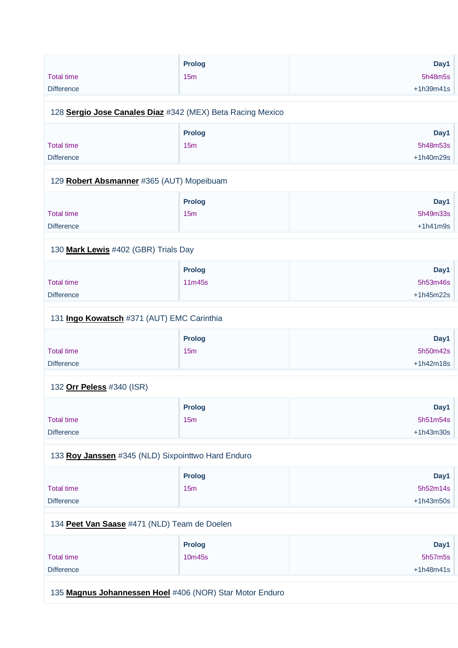|                                                            | <b>Prolog</b>                                      | Day1        |  |
|------------------------------------------------------------|----------------------------------------------------|-------------|--|
| <b>Total time</b>                                          | 15m                                                | 5h48m5s     |  |
|                                                            |                                                    |             |  |
| <b>Difference</b>                                          |                                                    | $+1h39m41s$ |  |
|                                                            |                                                    |             |  |
| 128 Sergio Jose Canales Diaz #342 (MEX) Beta Racing Mexico |                                                    |             |  |
|                                                            | <b>Prolog</b>                                      | Day1        |  |
| <b>Total time</b>                                          | 15 <sub>m</sub>                                    | 5h48m53s    |  |
| <b>Difference</b>                                          |                                                    | +1h40m29s   |  |
|                                                            |                                                    |             |  |
| 129 Robert Absmanner #365 (AUT) Mopeibuam                  |                                                    |             |  |
|                                                            |                                                    |             |  |
|                                                            | <b>Prolog</b>                                      | Day1        |  |
| <b>Total time</b>                                          | 15m                                                | 5h49m33s    |  |
| <b>Difference</b>                                          |                                                    | $+1h41m9s$  |  |
| 130 Mark Lewis #402 (GBR) Trials Day                       |                                                    |             |  |
|                                                            |                                                    |             |  |
|                                                            | Prolog                                             | Day1        |  |
| <b>Total time</b>                                          | 11m45s                                             | 5h53m46s    |  |
| <b>Difference</b>                                          |                                                    | $+1h45m22s$ |  |
|                                                            |                                                    |             |  |
| 131 Ingo Kowatsch #371 (AUT) EMC Carinthia                 |                                                    |             |  |
|                                                            | <b>Prolog</b>                                      | Day1        |  |
| <b>Total time</b>                                          | 15m                                                | 5h50m42s    |  |
|                                                            |                                                    |             |  |
| <b>Difference</b>                                          |                                                    | $+1h42m18s$ |  |
| 132 Orr Peless #340 (ISR)                                  |                                                    |             |  |
|                                                            | <b>Prolog</b>                                      |             |  |
|                                                            |                                                    | Day1        |  |
| <b>Total time</b>                                          | 15m                                                | 5h51m54s    |  |
| <b>Difference</b>                                          |                                                    | $+1h43m30s$ |  |
|                                                            | 133 Roy Janssen #345 (NLD) Sixpointtwo Hard Enduro |             |  |
|                                                            |                                                    |             |  |
|                                                            | <b>Prolog</b>                                      | Day1        |  |
| <b>Total time</b>                                          | 15m                                                | 5h52m14s    |  |
| <b>Difference</b>                                          |                                                    | $+1h43m50s$ |  |
|                                                            |                                                    |             |  |
| 134 Peet Van Saase #471 (NLD) Team de Doelen               |                                                    |             |  |
|                                                            | <b>Prolog</b>                                      | Day1        |  |
| <b>Total time</b>                                          | 10m45s                                             | 5h57m5s     |  |
|                                                            |                                                    |             |  |
| <b>Difference</b>                                          |                                                    | $+1h48m41s$ |  |
|                                                            |                                                    |             |  |
| 135 Magnus Johannessen Hoel #406 (NOR) Star Motor Enduro   |                                                    |             |  |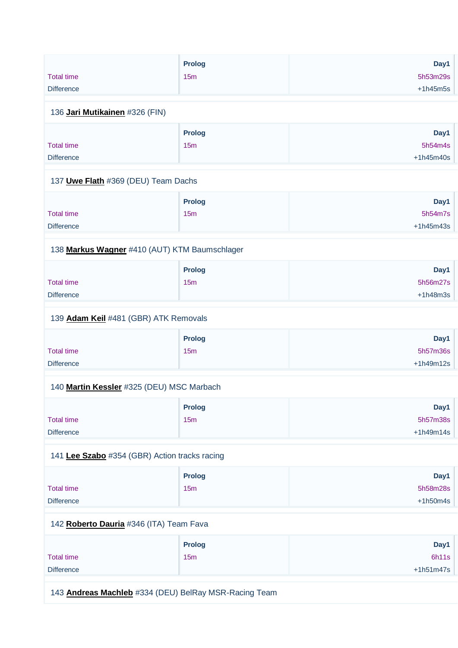|                   | Prolog | Day1       |
|-------------------|--------|------------|
| <b>Total time</b> | 15m    | 5h53m29s   |
| <b>Difference</b> |        | $+1h45m5s$ |
|                   |        |            |

#### 136 **[Jari Mutikainen](https://www.redbullromaniacs.com/for-competitors/profile/?e=rbr2019&b=326)** #326 (FIN)

|                   | <b>Prolog</b> | Day1        |
|-------------------|---------------|-------------|
| <b>Total time</b> | 15m           | 5h54m4s     |
| <b>Difference</b> |               | $+1h45m40s$ |

#### 137 **[Uwe Flath](https://www.redbullromaniacs.com/for-competitors/profile/?e=rbr2019&b=369)** #369 (DEU) Team Dachs

|                   | <b>Prolog</b> | Day1        |
|-------------------|---------------|-------------|
| <b>Total time</b> | 15m           | 5h54m7s     |
| <b>Difference</b> |               | $+1h45m43s$ |

## 138 **[Markus Wagner](https://www.redbullromaniacs.com/for-competitors/profile/?e=rbr2019&b=410)** #410 (AUT) KTM Baumschlager

|                   | <b>Prolog</b> | Day1       |
|-------------------|---------------|------------|
| Total time        | 15m           | 5h56m27s   |
| <b>Difference</b> |               | $+1h48m3s$ |

#### 139 **[Adam Keil](https://www.redbullromaniacs.com/for-competitors/profile/?e=rbr2019&b=481)** #481 (GBR) ATK Removals

|                   | <b>Prolog</b> | Day1        |
|-------------------|---------------|-------------|
| <b>Total time</b> | 15m           | 5h57m36s    |
| <b>Difference</b> |               | $+1h49m12s$ |

#### 140 **[Martin Kessler](https://www.redbullromaniacs.com/for-competitors/profile/?e=rbr2019&b=325)** #325 (DEU) MSC Marbach

|                   | <b>Prolog</b> | Day1        |
|-------------------|---------------|-------------|
| Total time        | 15m           | 5h57m38s    |
| <b>Difference</b> |               | $+1h49m14s$ |

## 141 **[Lee Szabo](https://www.redbullromaniacs.com/for-competitors/profile/?e=rbr2019&b=354)** #354 (GBR) Action tracks racing

|                   | <b>Prolog</b> | Day1       |
|-------------------|---------------|------------|
| <b>Total time</b> | 15m           | 5h58m28s   |
| <b>Difference</b> |               | $+1h50m4s$ |

#### 142 **[Roberto Dauria](https://www.redbullromaniacs.com/for-competitors/profile/?e=rbr2019&b=346)** #346 (ITA) Team Fava

|                   | <b>Prolog</b> | Day1        |
|-------------------|---------------|-------------|
| <b>Total time</b> | 15m           | 6h11s       |
| <b>Difference</b> |               | $+1h51m47s$ |

143 **[Andreas Machleb](https://www.redbullromaniacs.com/for-competitors/profile/?e=rbr2019&b=334)** #334 (DEU) BelRay MSR-Racing Team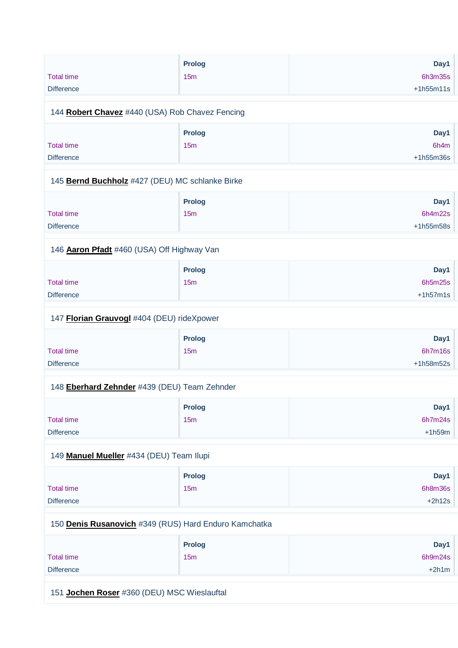|                   | <b>Prolog</b>   | Day1        |
|-------------------|-----------------|-------------|
| <b>Total time</b> | 15 <sub>m</sub> | 6h3m35s     |
| <b>Difference</b> |                 | $+1h55m11s$ |
|                   |                 |             |
|                   |                 |             |

#### 144 **[Robert Chavez](https://www.redbullromaniacs.com/for-competitors/profile/?e=rbr2019&b=440)** #440 (USA) Rob Chavez Fencing

|                   | <b>Prolog</b> | Day1        |
|-------------------|---------------|-------------|
| <b>Total time</b> | 15m           | 6h4m        |
| <b>Difference</b> |               | $+1h55m36s$ |

#### 145 **[Bernd Buchholz](https://www.redbullromaniacs.com/for-competitors/profile/?e=rbr2019&b=427)** #427 (DEU) MC schlanke Birke

|                   | <b>Prolog</b>   | Day1        |
|-------------------|-----------------|-------------|
| <b>Total time</b> | 15 <sub>m</sub> | 6h4m22s     |
| <b>Difference</b> |                 | $+1h55m58s$ |

#### 146 **[Aaron Pfadt](https://www.redbullromaniacs.com/for-competitors/profile/?e=rbr2019&b=460)** #460 (USA) Off Highway Van

|                   | <b>Prolog</b> | Day1       |
|-------------------|---------------|------------|
| Total time        | 15m           | 6h5m25s    |
| <b>Difference</b> |               | $+1h57m1s$ |

#### 147 **[Florian Grauvogl](https://www.redbullromaniacs.com/for-competitors/profile/?e=rbr2019&b=404)** #404 (DEU) rideXpower

|                   | <b>Prolog</b> | Day1        |
|-------------------|---------------|-------------|
| <b>Total time</b> | 15m           | 6h7m16s     |
| <b>Difference</b> |               | $+1h58m52s$ |

#### 148 **[Eberhard Zehnder](https://www.redbullromaniacs.com/for-competitors/profile/?e=rbr2019&b=439)** #439 (DEU) Team Zehnder

|                   | <b>Prolog</b> | Day1     |
|-------------------|---------------|----------|
| <b>Total time</b> | 15m           | 6h7m24s  |
| <b>Difference</b> |               | $+1h59m$ |

#### 149 **[Manuel Mueller](https://www.redbullromaniacs.com/for-competitors/profile/?e=rbr2019&b=434)** #434 (DEU) Team Ilupi

|                   | <b>Prolog</b>   | Day1     |
|-------------------|-----------------|----------|
| <b>Total time</b> | 15 <sub>m</sub> | 6h8m36s  |
| <b>Difference</b> |                 | $+2h12s$ |

#### 150 **[Denis Rusanovich](https://www.redbullromaniacs.com/for-competitors/profile/?e=rbr2019&b=349)** #349 (RUS) Hard Enduro Kamchatka

|                   | <b>Prolog</b> | Day1    |
|-------------------|---------------|---------|
| <b>Total time</b> | 15m           | 6h9m24s |
| <b>Difference</b> |               | $+2h1m$ |

151 **[Jochen Roser](https://www.redbullromaniacs.com/for-competitors/profile/?e=rbr2019&b=360)** #360 (DEU) MSC Wieslauftal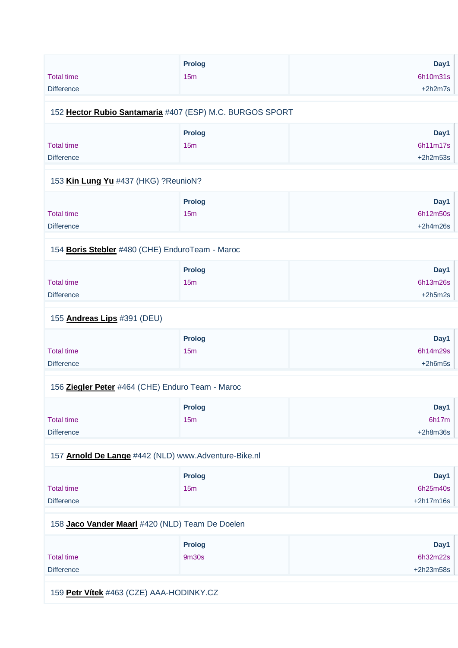| <b>Total time</b><br><b>Difference</b>                   | Prolog<br>15m             | Day1<br>6h10m31s<br>$+2h2m7s$   |
|----------------------------------------------------------|---------------------------|---------------------------------|
| 152 Hector Rubio Santamaria #407 (ESP) M.C. BURGOS SPORT |                           |                                 |
| <b>Total time</b><br><b>Difference</b>                   | <b>Prolog</b><br>15m      | Day1<br>6h11m17s<br>$+2h2m53s$  |
| 153 Kin Lung Yu #437 (HKG) ?ReunioN?                     |                           |                                 |
| <b>Total time</b><br><b>Difference</b>                   | <b>Prolog</b><br>15m      | Day1<br>6h12m50s<br>$+2h4m26s$  |
| 154 Boris Stebler #480 (CHE) EnduroTeam - Maroc          |                           |                                 |
| <b>Total time</b><br><b>Difference</b>                   | Prolog<br>15m             | Day1<br>6h13m26s<br>$+2h5m2s$   |
| 155 Andreas Lips #391 (DEU)                              |                           |                                 |
| <b>Total time</b><br><b>Difference</b>                   | Prolog<br>15 <sub>m</sub> | Day1<br>6h14m29s<br>$+2h6m5s$   |
| 156 Ziegler Peter #464 (CHE) Enduro Team - Maroc         |                           |                                 |
| <b>Total time</b><br><b>Difference</b>                   | <b>Prolog</b><br>15m      | Day1<br>6h17m<br>$+2h8m36s$     |
| 157 Arnold De Lange #442 (NLD) www.Adventure-Bike.nl     |                           |                                 |
| <b>Total time</b><br><b>Difference</b>                   | Prolog<br>15m             | Day1<br>6h25m40s<br>$+2h17m16s$ |
| 158 Jaco Vander Maarl #420 (NLD) Team De Doelen          |                           |                                 |
| <b>Total time</b><br><b>Difference</b>                   | Prolog<br>9m30s           | Day1<br>6h32m22s<br>$+2h23m58s$ |

159 **[Petr Vítek](https://www.redbullromaniacs.com/for-competitors/profile/?e=rbr2019&b=463)** #463 (CZE) AAA-HODINKY.CZ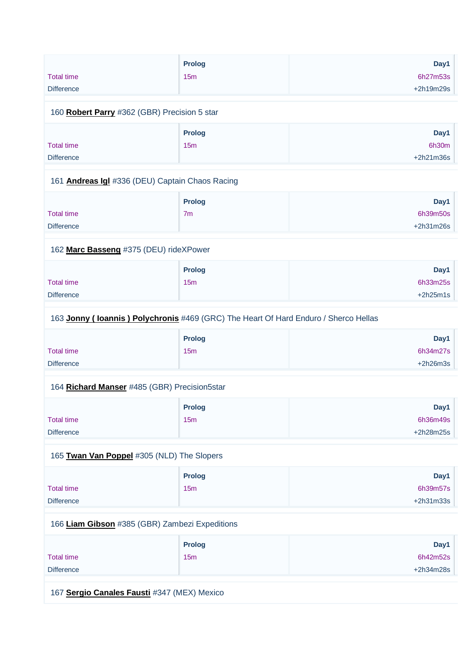|                                                                                                                                                                                                                                                                                                                                                                                                                                                                                                                  | <b>Prolog</b>                                                                                                                                         | Day1        |
|------------------------------------------------------------------------------------------------------------------------------------------------------------------------------------------------------------------------------------------------------------------------------------------------------------------------------------------------------------------------------------------------------------------------------------------------------------------------------------------------------------------|-------------------------------------------------------------------------------------------------------------------------------------------------------|-------------|
| <b>Total time</b>                                                                                                                                                                                                                                                                                                                                                                                                                                                                                                | 15 <sub>m</sub>                                                                                                                                       | 6h27m53s    |
| <b>Difference</b>                                                                                                                                                                                                                                                                                                                                                                                                                                                                                                |                                                                                                                                                       | $+2h19m29s$ |
|                                                                                                                                                                                                                                                                                                                                                                                                                                                                                                                  |                                                                                                                                                       |             |
| $\mathbf{1} \times \mathbf{1} \times \mathbf{1} \times \mathbf{1} \times \mathbf{1} \times \mathbf{1} \times \mathbf{1} \times \mathbf{1} \times \mathbf{1} \times \mathbf{1} \times \mathbf{1} \times \mathbf{1} \times \mathbf{1} \times \mathbf{1} \times \mathbf{1} \times \mathbf{1} \times \mathbf{1} \times \mathbf{1} \times \mathbf{1} \times \mathbf{1} \times \mathbf{1} \times \mathbf{1} \times \mathbf{1} \times \mathbf{1} \times \mathbf{1} \times \mathbf{1} \times \mathbf{1} \times \mathbf{$ | $\mathbf{u} \cdot \mathbf{v} = \mathbf{v} \cdot \mathbf{v} = \mathbf{v} \cdot \mathbf{v} = \mathbf{v} \cdot \mathbf{v} = \mathbf{v} \cdot \mathbf{v}$ |             |

#### 160 **[Robert Parry](https://www.redbullromaniacs.com/for-competitors/profile/?e=rbr2019&b=362)** #362 (GBR) Precision 5 star

|                   | <b>Prolog</b>   | Day1        |
|-------------------|-----------------|-------------|
| <b>Total time</b> | 15 <sub>m</sub> | 6h30m       |
| <b>Difference</b> |                 | $+2h21m36s$ |

#### 161 **[Andreas Igl](https://www.redbullromaniacs.com/for-competitors/profile/?e=rbr2019&b=336)** #336 (DEU) Captain Chaos Racing

|                   | <b>Prolog</b>  | Day1        |
|-------------------|----------------|-------------|
| <b>Total time</b> | 7 <sub>m</sub> | 6h39m50s    |
| <b>Difference</b> |                | $+2h31m26s$ |

#### 162 **[Marc Basseng](https://www.redbullromaniacs.com/for-competitors/profile/?e=rbr2019&b=375)** #375 (DEU) rideXPower

|                   | <b>Prolog</b> | Day1       |
|-------------------|---------------|------------|
| <b>Total time</b> | 15m           | 6h33m25s   |
| <b>Difference</b> |               | $+2h25m1s$ |

#### 163 **[Jonny \( Ioannis \) Polychronis](https://www.redbullromaniacs.com/for-competitors/profile/?e=rbr2019&b=469)** #469 (GRC) The Heart Of Hard Enduro / Sherco Hellas

|                   | Prolog | Day1       |
|-------------------|--------|------------|
| <b>Total time</b> | 15m    | 6h34m27s   |
| <b>Difference</b> |        | $+2h26m3s$ |

#### 164 **[Richard Manser](https://www.redbullromaniacs.com/for-competitors/profile/?e=rbr2019&b=485)** #485 (GBR) Precision5star

|                   | <b>Prolog</b> | Day1        |
|-------------------|---------------|-------------|
| <b>Total time</b> | 15m           | 6h36m49s    |
| <b>Difference</b> |               | $+2h28m25s$ |

## 165 **[Twan Van Poppel](https://www.redbullromaniacs.com/for-competitors/profile/?e=rbr2019&b=305)** #305 (NLD) The Slopers

|                   | Prolog | Day1        |
|-------------------|--------|-------------|
| <b>Total time</b> | 15m    | 6h39m57s    |
| <b>Difference</b> |        | $+2h31m33s$ |

#### 166 **[Liam Gibson](https://www.redbullromaniacs.com/for-competitors/profile/?e=rbr2019&b=385)** #385 (GBR) Zambezi Expeditions

|                   | Prolog | Day1        |
|-------------------|--------|-------------|
| <b>Total time</b> | 15m    | 6h42m52s    |
| <b>Difference</b> |        | $+2h34m28s$ |

167 **[Sergio Canales Fausti](https://www.redbullromaniacs.com/for-competitors/profile/?e=rbr2019&b=347)** #347 (MEX) Mexico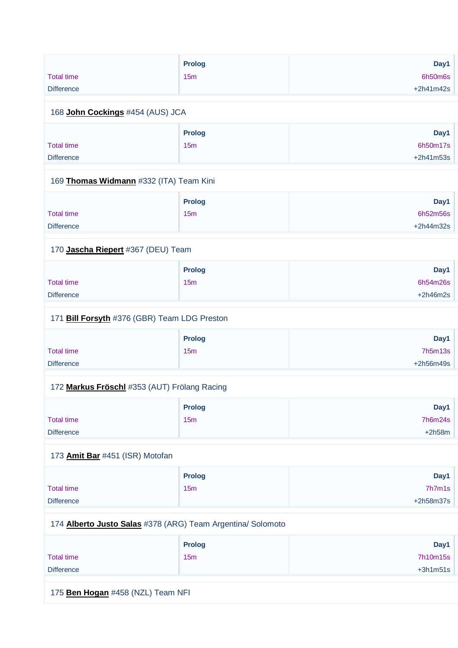|                   | <b>Prolog</b> | Day1        |
|-------------------|---------------|-------------|
| <b>Total time</b> | 15m           | 6h50m6s     |
| <b>Difference</b> |               | $+2h41m42s$ |
|                   |               |             |
| .<br>- - -        |               |             |

#### 168 **[John Cockings](https://www.redbullromaniacs.com/for-competitors/profile/?e=rbr2019&b=454)** #454 (AUS) JCA

| <b>Prolog</b> | Day1        |
|---------------|-------------|
| 15m           | 6h50m17s    |
|               | $+2h41m53s$ |
|               |             |

#### 169 **[Thomas Widmann](https://www.redbullromaniacs.com/for-competitors/profile/?e=rbr2019&b=332)** #332 (ITA) Team Kini

|                   | <b>Prolog</b>   | Day1        |
|-------------------|-----------------|-------------|
| <b>Total time</b> | 15 <sub>m</sub> | 6h52m56s    |
| <b>Difference</b> |                 | $+2h44m32s$ |

## 170 **[Jascha Riepert](https://www.redbullromaniacs.com/for-competitors/profile/?e=rbr2019&b=367)** #367 (DEU) Team

|                   | <b>Prolog</b>   | Day1       |
|-------------------|-----------------|------------|
| Total time        | 15 <sub>m</sub> | 6h54m26s   |
| <b>Difference</b> |                 | $+2h46m2s$ |

#### 171 **[Bill Forsyth](https://www.redbullromaniacs.com/for-competitors/profile/?e=rbr2019&b=376)** #376 (GBR) Team LDG Preston

|                   | <b>Prolog</b> | Day1      |
|-------------------|---------------|-----------|
| <b>Total time</b> | 15m           | 7h5m13s   |
| <b>Difference</b> |               | +2h56m49s |

## 172 **[Markus Fröschl](https://www.redbullromaniacs.com/for-competitors/profile/?e=rbr2019&b=353)** #353 (AUT) Frölang Racing

|                   | <b>Prolog</b> | Day1     |
|-------------------|---------------|----------|
| <b>Total time</b> | 15m           | 7h6m24s  |
| <b>Difference</b> |               | $+2h58m$ |

## 173 **[Amit Bar](https://www.redbullromaniacs.com/for-competitors/profile/?e=rbr2019&b=451)** #451 (ISR) Motofan

|                   | <b>Prolog</b> | Day1        |
|-------------------|---------------|-------------|
| <b>Total time</b> | 15m           | 7h7m1s      |
| <b>Difference</b> |               | $+2h58m37s$ |

#### 174 **[Alberto Justo Salas](https://www.redbullromaniacs.com/for-competitors/profile/?e=rbr2019&b=378)** #378 (ARG) Team Argentina/ Solomoto

|                   | <b>Prolog</b>   | Day1       |
|-------------------|-----------------|------------|
| <b>Total time</b> | 15 <sub>m</sub> | 7h10m15s   |
| <b>Difference</b> |                 | $+3h1m51s$ |

175 **[Ben Hogan](https://www.redbullromaniacs.com/for-competitors/profile/?e=rbr2019&b=458)** #458 (NZL) Team NFI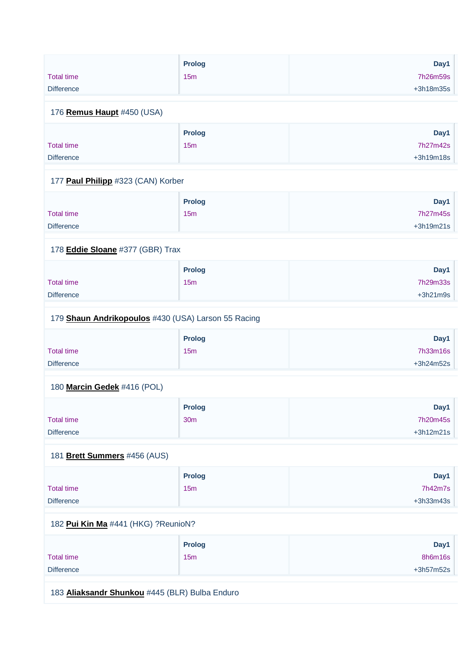|                   | <b>Prolog</b> | Day1        |
|-------------------|---------------|-------------|
| <b>Total time</b> | 15m           | 7h26m59s    |
| <b>Difference</b> |               | $+3h18m35s$ |

#### 176 **[Remus Haupt](https://www.redbullromaniacs.com/for-competitors/profile/?e=rbr2019&b=450)** #450 (USA)

|                   | <b>Prolog</b> | Day1        |
|-------------------|---------------|-------------|
| <b>Total time</b> | 15m           | 7h27m42s    |
| <b>Difference</b> |               | $+3h19m18s$ |

#### 177 **[Paul Philipp](https://www.redbullromaniacs.com/for-competitors/profile/?e=rbr2019&b=323)** #323 (CAN) Korber

|                   | <b>Prolog</b> | Day1        |
|-------------------|---------------|-------------|
| <b>Total time</b> | 15m           | 7h27m45s    |
| <b>Difference</b> |               | $+3h19m21s$ |

## 178 **[Eddie Sloane](https://www.redbullromaniacs.com/for-competitors/profile/?e=rbr2019&b=377)** #377 (GBR) Trax

|                   | <b>Prolog</b>   | Day1       |
|-------------------|-----------------|------------|
| <b>Total time</b> | 15 <sub>m</sub> | 7h29m33s   |
| <b>Difference</b> |                 | $+3h21m9s$ |

#### 179 **[Shaun Andrikopoulos](https://www.redbullromaniacs.com/for-competitors/profile/?e=rbr2019&b=430)** #430 (USA) Larson 55 Racing

|                   | <b>Prolog</b> | Day1      |
|-------------------|---------------|-----------|
| <b>Total time</b> | 15m           | 7h33m16s  |
| <b>Difference</b> |               | +3h24m52s |

## 180 **[Marcin Gedek](https://www.redbullromaniacs.com/for-competitors/profile/?e=rbr2019&b=416)** #416 (POL)

|                   | <b>Prolog</b>   | Day1        |
|-------------------|-----------------|-------------|
| <b>Total time</b> | 30 <sub>m</sub> | 7h20m45s    |
| <b>Difference</b> |                 | $+3h12m21s$ |

## 181 **[Brett Summers](https://www.redbullromaniacs.com/for-competitors/profile/?e=rbr2019&b=456)** #456 (AUS)

|                   | <b>Prolog</b> | Day1        |
|-------------------|---------------|-------------|
| <b>Total time</b> | 15m           | 7h42m7s     |
| <b>Difference</b> |               | $+3h33m43s$ |

## 182 **[Pui Kin Ma](https://www.redbullromaniacs.com/for-competitors/profile/?e=rbr2019&b=441)** #441 (HKG) ?ReunioN?

| <b>Prolog</b> | Day1        |
|---------------|-------------|
| 15m           | 8h6m16s     |
|               | $+3h57m52s$ |
|               |             |

183 **[Aliaksandr Shunkou](https://www.redbullromaniacs.com/for-competitors/profile/?e=rbr2019&b=445)** #445 (BLR) Bulba Enduro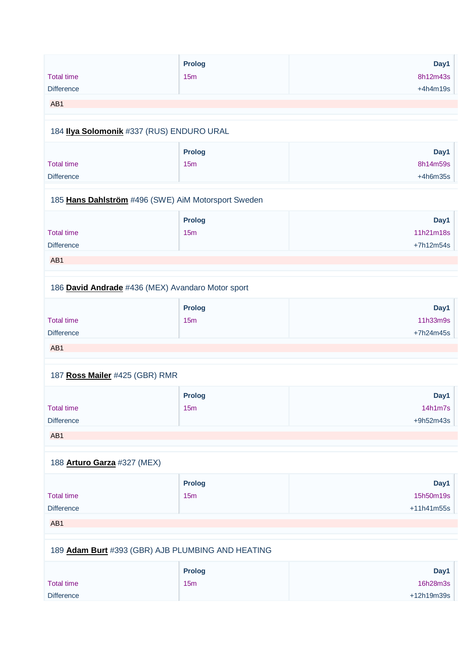|                                | Prolog                                              | Day1         |
|--------------------------------|-----------------------------------------------------|--------------|
| <b>Total time</b>              | 15m                                                 | 8h12m43s     |
|                                |                                                     |              |
| <b>Difference</b>              |                                                     | $+4h4m19s$   |
| AB1                            |                                                     |              |
|                                | 184 Ilya Solomonik #337 (RUS) ENDURO URAL           |              |
|                                | <b>Prolog</b>                                       | Day1         |
| <b>Total time</b>              | 15m                                                 | 8h14m59s     |
| <b>Difference</b>              |                                                     | $+4h6m35s$   |
|                                | 185 Hans Dahlström #496 (SWE) AiM Motorsport Sweden |              |
|                                | <b>Prolog</b>                                       | Day1         |
| <b>Total time</b>              | 15m                                                 | 11h21m18s    |
| <b>Difference</b>              |                                                     | $+7h12m54s$  |
| AB1                            |                                                     |              |
|                                |                                                     |              |
|                                | 186 David Andrade #436 (MEX) Avandaro Motor sport   |              |
|                                | Prolog                                              | Day1         |
| <b>Total time</b>              | 15m                                                 | 11h33m9s     |
| <b>Difference</b>              |                                                     | +7h24m45s    |
| AB1                            |                                                     |              |
|                                |                                                     |              |
| 187 Ross Mailer #425 (GBR) RMR |                                                     |              |
|                                | <b>Prolog</b>                                       | Day1         |
| <b>Total time</b>              | 15m                                                 | 14h1m7s      |
| Difference                     |                                                     | $+9h52m43s$  |
| AB1                            |                                                     |              |
|                                |                                                     |              |
| 188 Arturo Garza #327 (MEX)    |                                                     |              |
|                                | <b>Prolog</b>                                       | Day1         |
| <b>Total time</b>              | 15m                                                 | 15h50m19s    |
| Difference                     |                                                     | $+11h41m55s$ |
| AB1                            |                                                     |              |
|                                | 189 Adam Burt #393 (GBR) AJB PLUMBING AND HEATING   |              |
|                                |                                                     |              |
|                                | <b>Prolog</b>                                       | Day1         |
| <b>Total time</b>              | 15m                                                 | 16h28m3s     |
| Difference                     |                                                     | +12h19m39s   |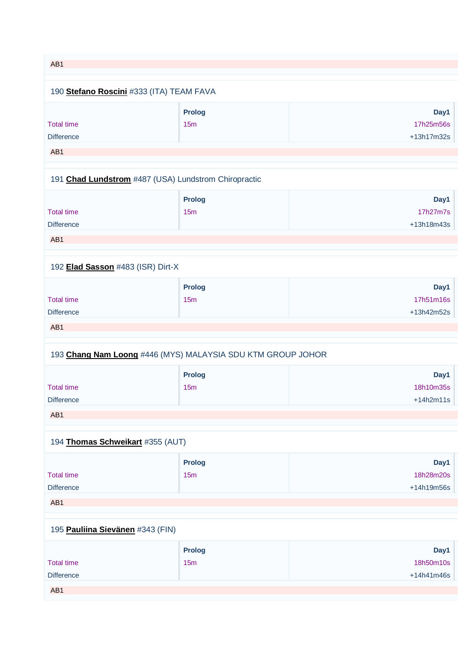| AB1                                                         |               |             |  |
|-------------------------------------------------------------|---------------|-------------|--|
|                                                             |               |             |  |
| 190 Stefano Roscini #333 (ITA) TEAM FAVA                    |               |             |  |
|                                                             |               |             |  |
|                                                             | <b>Prolog</b> | Day1        |  |
| <b>Total time</b>                                           | 15m           | 17h25m56s   |  |
| <b>Difference</b>                                           |               | +13h17m32s  |  |
| AB1                                                         |               |             |  |
|                                                             |               |             |  |
| 191 Chad Lundstrom #487 (USA) Lundstrom Chiropractic        |               |             |  |
|                                                             | <b>Prolog</b> | Day1        |  |
| <b>Total time</b>                                           | 15m           | 17h27m7s    |  |
| <b>Difference</b>                                           |               | +13h18m43s  |  |
|                                                             |               |             |  |
| AB1                                                         |               |             |  |
|                                                             |               |             |  |
| 192 Elad Sasson #483 (ISR) Dirt-X                           |               |             |  |
|                                                             | <b>Prolog</b> | Day1        |  |
| <b>Total time</b>                                           | 15m           | 17h51m16s   |  |
| <b>Difference</b>                                           |               | +13h42m52s  |  |
|                                                             |               |             |  |
| AB1                                                         |               |             |  |
| 193 Chang Nam Loong #446 (MYS) MALAYSIA SDU KTM GROUP JOHOR |               |             |  |
|                                                             | <b>Prolog</b> | Day1        |  |
| <b>Total time</b>                                           | 15m           | 18h10m35s   |  |
| <b>Difference</b>                                           |               | $+14h2m11s$ |  |
|                                                             |               |             |  |
| AB1                                                         |               |             |  |
| 194 Thomas Schweikart #355 (AUT)                            |               |             |  |
|                                                             |               |             |  |
|                                                             | <b>Prolog</b> | Day1        |  |
| <b>Total time</b>                                           | 15m           | 18h28m20s   |  |
| <b>Difference</b>                                           |               | +14h19m56s  |  |
| AB1                                                         |               |             |  |
|                                                             |               |             |  |
| 195 Pauliina Sievänen #343 (FIN)                            |               |             |  |
|                                                             |               |             |  |
|                                                             | <b>Prolog</b> | Day1        |  |
| <b>Total time</b>                                           | 15m           | 18h50m10s   |  |
| <b>Difference</b>                                           |               | +14h41m46s  |  |
| AB1                                                         |               |             |  |
|                                                             |               |             |  |
|                                                             |               |             |  |